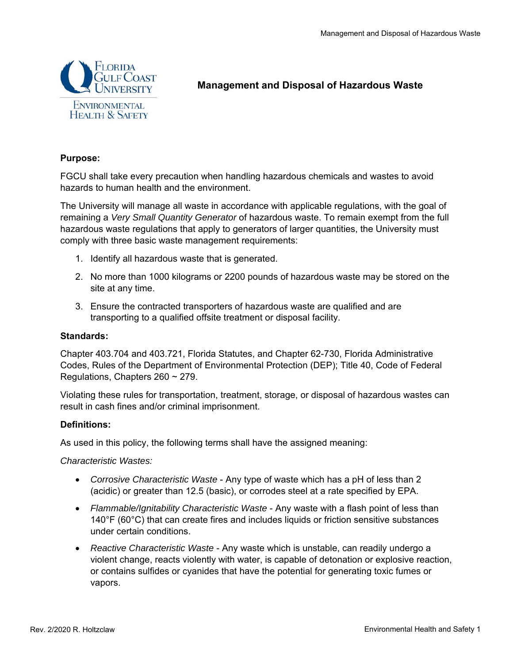

# **Management and Disposal of Hazardous Waste**

## **Purpose:**

FGCU shall take every precaution when handling hazardous chemicals and wastes to avoid hazards to human health and the environment.

The University will manage all waste in accordance with applicable regulations, with the goal of remaining a *Very Small Quantity Generator* of hazardous waste. To remain exempt from the full hazardous waste regulations that apply to generators of larger quantities, the University must comply with three basic waste management requirements:

- 1. Identify all hazardous waste that is generated.
- 2. No more than 1000 kilograms or 2200 pounds of hazardous waste may be stored on the site at any time.
- 3. Ensure the contracted transporters of hazardous waste are qualified and are transporting to a qualified offsite treatment or disposal facility.

#### **Standards:**

Chapter 403.704 and 403.721, Florida Statutes, and Chapter 62-730, Florida Administrative Codes, Rules of the Department of Environmental Protection (DEP); Title 40, Code of Federal Regulations, Chapters 260 ~ 279.

Violating these rules for transportation, treatment, storage, or disposal of hazardous wastes can result in cash fines and/or criminal imprisonment.

#### **Definitions:**

As used in this policy, the following terms shall have the assigned meaning:

*Characteristic Wastes:* 

- *Corrosive Characteristic Waste* Any type of waste which has a pH of less than 2 (acidic) or greater than 12.5 (basic), or corrodes steel at a rate specified by EPA.
- *Flammable/Ignitability Characteristic Waste* Any waste with a flash point of less than 140°F (60°C) that can create fires and includes liquids or friction sensitive substances under certain conditions.
- *Reactive Characteristic Waste* Any waste which is unstable, can readily undergo a violent change, reacts violently with water, is capable of detonation or explosive reaction, or contains sulfides or cyanides that have the potential for generating toxic fumes or vapors.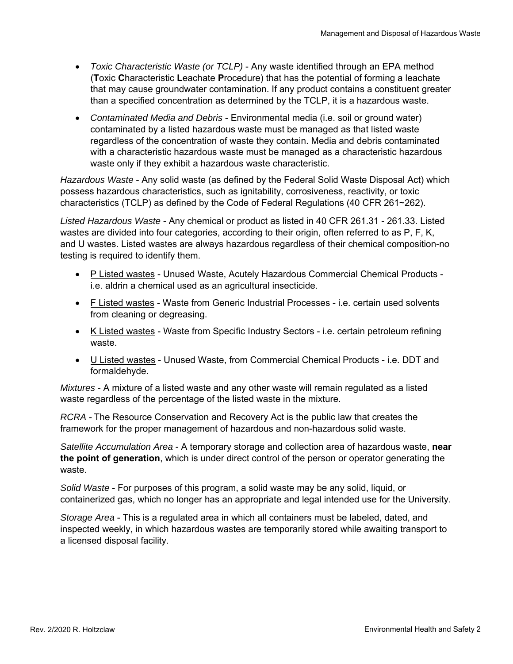- *Toxic Characteristic Waste (or TCLP)* Any waste identified through an EPA method (**T**oxic **C**haracteristic **L**eachate **P**rocedure) that has the potential of forming a leachate that may cause groundwater contamination. If any product contains a constituent greater than a specified concentration as determined by the TCLP, it is a hazardous waste.
- *Contaminated Media and Debris* Environmental media (i.e. soil or ground water) contaminated by a listed hazardous waste must be managed as that listed waste regardless of the concentration of waste they contain. Media and debris contaminated with a characteristic hazardous waste must be managed as a characteristic hazardous waste only if they exhibit a hazardous waste characteristic.

*Hazardous Waste* - Any solid waste (as defined by the Federal Solid Waste Disposal Act) which possess hazardous characteristics, such as ignitability, corrosiveness, reactivity, or toxic characteristics (TCLP) as defined by the Code of Federal Regulations (40 CFR 261~262).

*Listed Hazardous Waste* - Any chemical or product as listed in 40 CFR 261.31 - 261.33. Listed wastes are divided into four categories, according to their origin, often referred to as P, F, K, and U wastes. Listed wastes are always hazardous regardless of their chemical composition-no testing is required to identify them.

- P Listed wastes Unused Waste, Acutely Hazardous Commercial Chemical Products i.e. aldrin a chemical used as an agricultural insecticide.
- F Listed wastes Waste from Generic Industrial Processes i.e. certain used solvents from cleaning or degreasing.
- K Listed wastes Waste from Specific Industry Sectors i.e. certain petroleum refining waste.
- U Listed wastes Unused Waste, from Commercial Chemical Products i.e. DDT and formaldehyde.

*Mixtures -* A mixture of a listed waste and any other waste will remain regulated as a listed waste regardless of the percentage of the listed waste in the mixture.

*RCRA* - The Resource Conservation and Recovery Act is the public law that creates the framework for the proper management of hazardous and non-hazardous solid waste.

*Satellite Accumulation Area* - A temporary storage and collection area of hazardous waste, **near the point of generation**, which is under direct control of the person or operator generating the waste.

*Solid Waste* - For purposes of this program, a solid waste may be any solid, liquid, or containerized gas, which no longer has an appropriate and legal intended use for the University.

*Storage Area* - This is a regulated area in which all containers must be labeled, dated, and inspected weekly, in which hazardous wastes are temporarily stored while awaiting transport to a licensed disposal facility.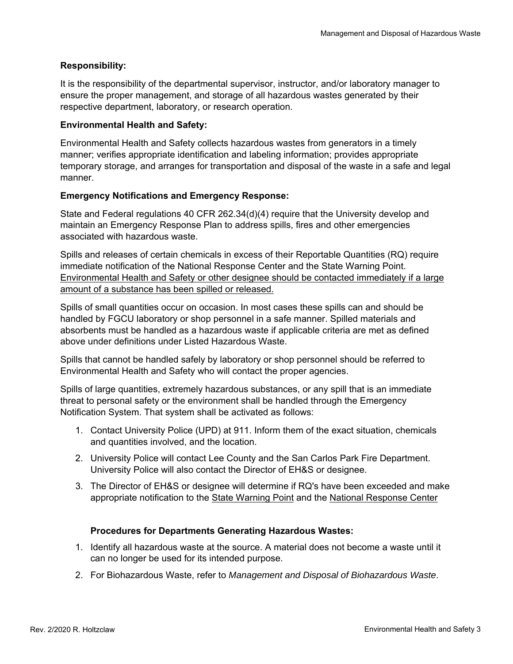## **Responsibility:**

It is the responsibility of the departmental supervisor, instructor, and/or laboratory manager to ensure the proper management, and storage of all hazardous wastes generated by their respective department, laboratory, or research operation.

#### **Environmental Health and Safety:**

Environmental Health and Safety collects hazardous wastes from generators in a timely manner; verifies appropriate identification and labeling information; provides appropriate temporary storage, and arranges for transportation and disposal of the waste in a safe and legal manner.

## **Emergency Notifications and Emergency Response:**

State and Federal regulations 40 CFR 262.34(d)(4) require that the University develop and maintain an Emergency Response Plan to address spills, fires and other emergencies associated with hazardous waste.

Spills and releases of certain chemicals in excess of their Reportable Quantities (RQ) require immediate notification of the National Response Center and the State Warning Point. Environmental Health and Safety or other designee should be contacted immediately if a large amount of a substance has been spilled or released.

Spills of small quantities occur on occasion. In most cases these spills can and should be handled by FGCU laboratory or shop personnel in a safe manner. Spilled materials and absorbents must be handled as a hazardous waste if applicable criteria are met as defined above under definitions under Listed Hazardous Waste.

Spills that cannot be handled safely by laboratory or shop personnel should be referred to Environmental Health and Safety who will contact the proper agencies.

Spills of large quantities, extremely hazardous substances, or any spill that is an immediate threat to personal safety or the environment shall be handled through the Emergency Notification System. That system shall be activated as follows:

- 1. Contact University Police (UPD) at 911. Inform them of the exact situation, chemicals and quantities involved, and the location.
- 2. University Police will contact Lee County and the San Carlos Park Fire Department. University Police will also contact the Director of EH&S or designee.
- 3. The Director of EH&S or designee will determine if RQ's have been exceeded and make appropriate notification to the State Warning Point and the National Response Center

#### **Procedures for Departments Generating Hazardous Wastes:**

- 1. Identify all hazardous waste at the source. A material does not become a waste until it can no longer be used for its intended purpose.
- 2. For Biohazardous Waste, refer to *Management and Disposal of Biohazardous Waste*.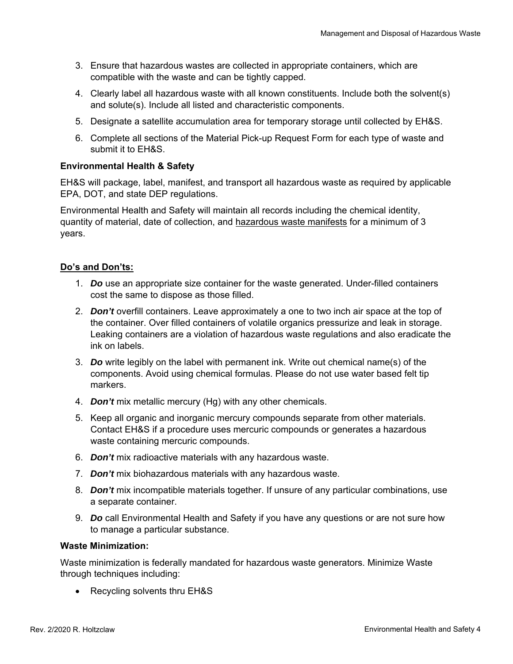- 3. Ensure that hazardous wastes are collected in appropriate containers, which are compatible with the waste and can be tightly capped.
- 4. Clearly label all hazardous waste with all known constituents. Include both the solvent(s) and solute(s). Include all listed and characteristic components.
- 5. Designate a satellite accumulation area for temporary storage until collected by EH&S.
- 6. Complete all sections of the Material Pick-up Request Form for each type of waste and submit it to EH&S.

## **Environmental Health & Safety**

EH&S will package, label, manifest, and transport all hazardous waste as required by applicable EPA, DOT, and state DEP regulations.

Environmental Health and Safety will maintain all records including the chemical identity, quantity of material, date of collection, and hazardous waste manifests for a minimum of 3 years.

## **Do's and Don'ts:**

- 1. *Do* use an appropriate size container for the waste generated. Under-filled containers cost the same to dispose as those filled.
- 2. *Don't* overfill containers. Leave approximately a one to two inch air space at the top of the container. Over filled containers of volatile organics pressurize and leak in storage. Leaking containers are a violation of hazardous waste regulations and also eradicate the ink on labels.
- 3. *Do* write legibly on the label with permanent ink. Write out chemical name(s) of the components. Avoid using chemical formulas. Please do not use water based felt tip markers.
- 4. *Don't* mix metallic mercury (Hg) with any other chemicals.
- 5. Keep all organic and inorganic mercury compounds separate from other materials. Contact EH&S if a procedure uses mercuric compounds or generates a hazardous waste containing mercuric compounds.
- 6. *Don't* mix radioactive materials with any hazardous waste.
- 7. *Don't* mix biohazardous materials with any hazardous waste.
- 8. *Don't* mix incompatible materials together. If unsure of any particular combinations, use a separate container.
- 9. *Do* call Environmental Health and Safety if you have any questions or are not sure how to manage a particular substance.

#### **Waste Minimization:**

Waste minimization is federally mandated for hazardous waste generators. Minimize Waste through techniques including:

• Recycling solvents thru EH&S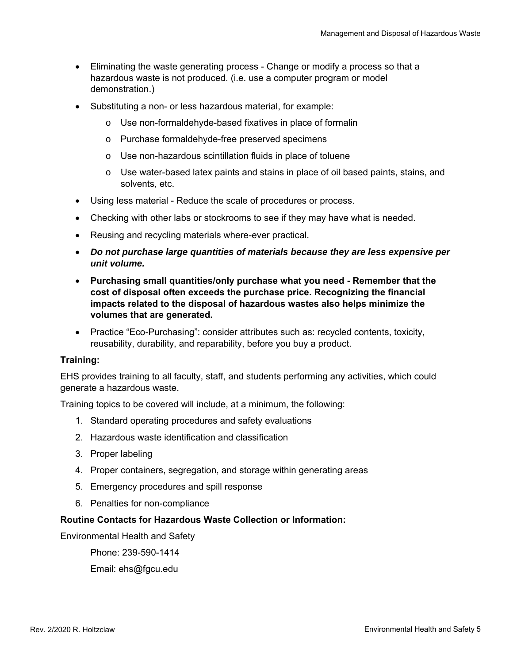- Eliminating the waste generating process Change or modify a process so that a hazardous waste is not produced. (i.e. use a computer program or model demonstration.)
- Substituting a non- or less hazardous material, for example:
	- o Use non-formaldehyde-based fixatives in place of formalin
	- o Purchase formaldehyde-free preserved specimens
	- o Use non-hazardous scintillation fluids in place of toluene
	- $\circ$  Use water-based latex paints and stains in place of oil based paints, stains, and solvents, etc.
- Using less material Reduce the scale of procedures or process.
- Checking with other labs or stockrooms to see if they may have what is needed.
- Reusing and recycling materials where-ever practical.
- *Do not purchase large quantities of materials because they are less expensive per unit volume.*
- **Purchasing small quantities/only purchase what you need Remember that the cost of disposal often exceeds the purchase price. Recognizing the financial impacts related to the disposal of hazardous wastes also helps minimize the volumes that are generated.**
- Practice "Eco-Purchasing": consider attributes such as: recycled contents, toxicity, reusability, durability, and reparability, before you buy a product.

#### **Training:**

EHS provides training to all faculty, staff, and students performing any activities, which could generate a hazardous waste.

Training topics to be covered will include, at a minimum, the following:

- 1. Standard operating procedures and safety evaluations
- 2. Hazardous waste identification and classification
- 3. Proper labeling
- 4. Proper containers, segregation, and storage within generating areas
- 5. Emergency procedures and spill response
- 6. Penalties for non-compliance

#### **Routine Contacts for Hazardous Waste Collection or Information:**

Environmental Health and Safety

Phone: 239-590-1414

Email: ehs@fgcu.edu